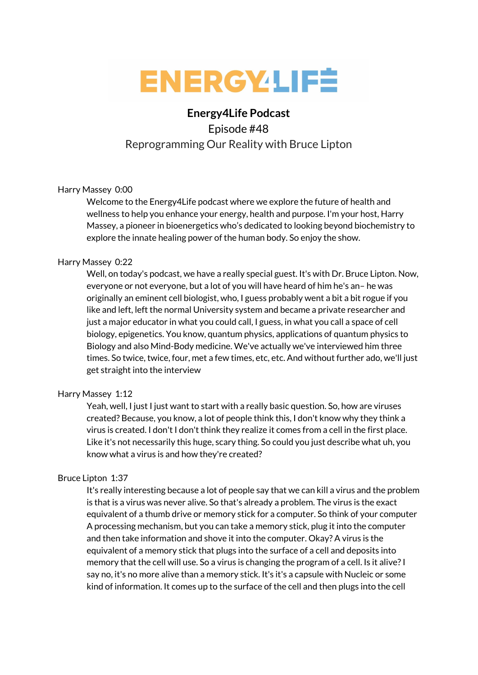

# **Energy4Life Podcast**

# Episode #48 Reprogramming Our Reality with Bruce Lipton

# Harry Massey 0:00

Welcome to the Energy4Life podcast where we explore the future of health and wellness to help you enhance your energy, health and purpose. I'm your host, Harry Massey, a pioneer in bioenergetics who's dedicated to looking beyond biochemistry to explore the innate healing power of the human body. So enjoy the show.

# Harry Massey 0:22

Well, on today's podcast, we have a really special guest. It's with Dr. Bruce Lipton. Now, everyone or not everyone, but a lot of you will have heard of him he's an– he was originally an eminent cell biologist, who, I guess probably went a bit a bit rogue if you like and left, left the normal University system and became a private researcher and just a major educator in what you could call, I guess, in what you call a space of cell biology, epigenetics. You know, quantum physics, applications of quantum physics to Biology and also Mind-Body medicine. We've actually we've interviewed him three times. So twice, twice, four, met a few times, etc, etc. And without further ado, we'll just get straight into the interview

# Harry Massey 1:12

Yeah, well, I just I just want to start with a really basic question. So, how are viruses created? Because, you know, a lot of people think this, I don't know why they think a virus is created. I don't I don't think they realize it comes from a cell in the first place. Like it's not necessarily this huge, scary thing. So could you just describe what uh, you know what a virus is and how they're created?

# Bruce Lipton 1:37

It's really interesting because a lot of people say that we can kill a virus and the problem is that is a virus was never alive. So that's already a problem. The virus is the exact equivalent of a thumb drive or memory stick for a computer. So think of your computer A processing mechanism, but you can take a memory stick, plug it into the computer and then take information and shove it into the computer. Okay? A virus is the equivalent of a memory stick that plugs into the surface of a cell and deposits into memory that the cell will use. So a virus is changing the program of a cell. Is it alive?I say no, it's no more alive than a memory stick. It's it's a capsule with Nucleic or some kind of information. It comes up to the surface of the cell and then plugs into the cell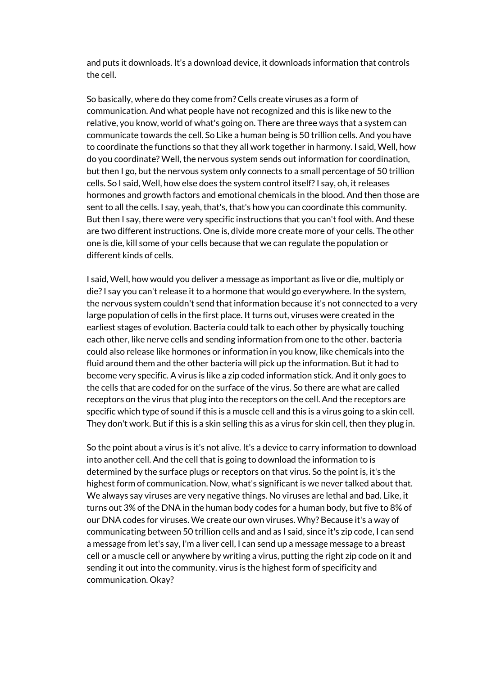and puts it downloads. It's a download device, it downloads information that controls the cell.

So basically, where do they come from? Cells create viruses as a form of communication. And what people have not recognized and this is like new to the relative, you know, world of what's going on. There are three ways that a system can communicate towards the cell. So Like a human being is 50 trillion cells. And you have to coordinate the functions so that they all work together in harmony. I said, Well, how do you coordinate? Well, the nervous system sends out information for coordination, but then I go, but the nervous system only connects to a small percentage of 50 trillion cells. So I said, Well, how else does the system control itself?I say, oh, it releases hormones and growth factors and emotional chemicals in the blood. And then those are sent to all the cells. I say, yeah, that's, that's how you can coordinate this community. But then I say, there were very specific instructions that you can't fool with. And these are two different instructions. One is, divide more create more of your cells. The other one is die, kill some of your cells because that we can regulate the population or different kinds of cells.

I said, Well, how would you deliver a message as important as live or die, multiply or die?I say you can't release it to a hormone that would go everywhere. In the system, the nervous system couldn't send that information because it's not connected to a very large population of cells in the first place. It turns out, viruses were created in the earliest stages of evolution. Bacteria could talk to each other by physically touching each other, like nerve cells and sending information from one to the other. bacteria could also release like hormones or information in you know, like chemicals into the fluid around them and the other bacteria will pick up the information. But it had to become very specific. A virus is like a zip coded information stick. And it only goes to the cells that are coded for on the surface of the virus. So there are what are called receptors on the virus that plug into the receptors on the cell. And the receptors are specific which type of sound if this is a muscle cell and this is a virus going to a skin cell. They don't work. But if this is a skin selling this as a virus for skin cell, then they plug in.

So the point about a virus is it's not alive. It's a device to carry information to download into another cell. And the cell that is going to download the information to is determined by the surface plugs or receptors on that virus. So the point is, it's the highest form of communication. Now, what's significant is we never talked about that. We always say viruses are very negative things. No viruses are lethal and bad. Like, it turns out 3% of the DNA in the human body codes for a human body, but five to 8% of our DNA codes for viruses. We create our own viruses. Why? Because it's a way of communicating between 50 trillion cells and and as I said, since it's zip code, I can send a message from let's say, I'm a liver cell, I can send up a message message to a breast cell or a muscle cell or anywhere by writing a virus, putting the right zip code on it and sending it out into the community. virus is the highest form of specificity and communication. Okay?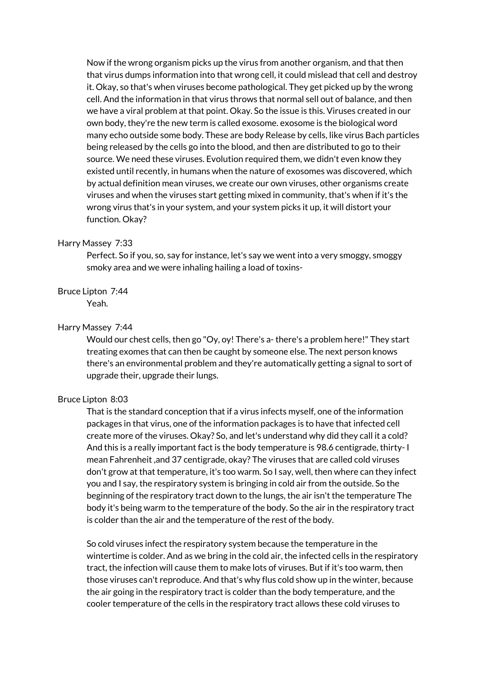Now if the wrong organism picks up the virus from another organism, and that then that virus dumps information into that wrong cell, it could mislead that cell and destroy it. Okay, so that's when viruses become pathological. They get picked up by the wrong cell. And the information in that virus throws that normal sell out of balance, and then we have a viral problem at that point. Okay. So the issue is this. Viruses created in our own body, they're the new term is called exosome. exosome is the biological word many echo outside some body. These are body Release by cells, like virus Bach particles being released by the cells go into the blood, and then are distributed to go to their source. We need these viruses. Evolution required them, we didn't even know they existed until recently, in humans when the nature of exosomes was discovered, which by actual definition mean viruses, we create our own viruses, other organisms create viruses and when the viruses start getting mixed in community, that's when if it's the wrong virus that's in your system, and your system picks it up, it will distort your function. Okay?

#### Harry Massey 7:33

Perfect. So if you, so, say for instance, let's say we went into a very smoggy, smoggy smoky area and we were inhaling hailing a load of toxins-

## Bruce Lipton 7:44

Yeah.

## Harry Massey 7:44

Would our chest cells, then go "Oy, oy! There's a- there's a problem here!" They start treating exomes that can then be caught by someone else. The next person knows there's an environmental problem and they're automatically getting a signal to sort of upgrade their, upgrade their lungs.

## Bruce Lipton 8:03

That is the standard conception that if a virus infects myself, one of the information packages in that virus, one of the information packages is to have that infected cell create more of the viruses. Okay? So, and let's understand why did they call it a cold? And this is a really important fact is the body temperature is 98.6 centigrade, thirty- I mean Fahrenheit ,and 37 centigrade, okay? The viruses that are called cold viruses don't grow at that temperature, it's too warm. So I say, well, then where can they infect you and I say, the respiratory system is bringing in cold air from the outside. So the beginning of the respiratory tract down to the lungs, the air isn't the temperature The body it's being warm to the temperature of the body. So the air in the respiratory tract is colder than the air and the temperature of the rest of the body.

So cold viruses infect the respiratory system because the temperature in the wintertime is colder. And as we bring in the cold air, the infected cells in the respiratory tract, the infection will cause them to make lots of viruses. But if it's too warm, then those viruses can't reproduce. And that's why flus cold show up in the winter, because the air going in the respiratory tract is colder than the body temperature, and the cooler temperature of the cells in the respiratory tract allows these cold viruses to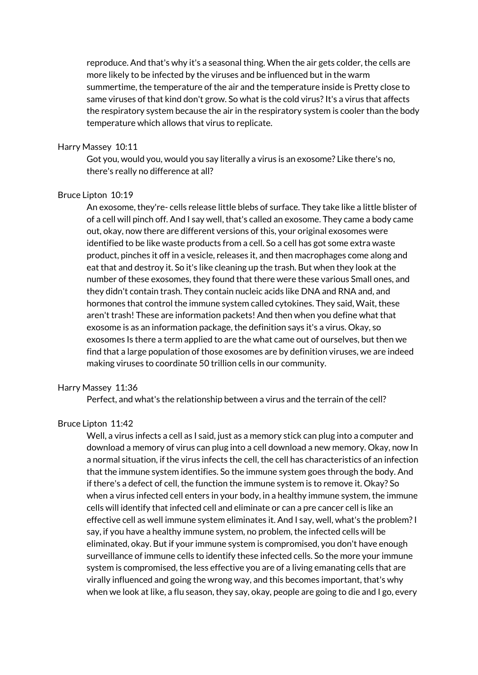reproduce. And that's why it's a seasonal thing. When the air gets colder, the cells are more likely to be infected by the viruses and be influenced but in the warm summertime, the temperature of the air and the temperature inside is Pretty close to same viruses of that kind don't grow. So what is the cold virus? It's a virus that affects the respiratory system because the air in the respiratory system is cooler than the body temperature which allows that virus to replicate.

#### Harry Massey 10:11

Got you, would you, would you say literally a virus is an exosome? Like there's no, there's really no difference at all?

#### Bruce Lipton 10:19

An exosome, they're- cells release little blebs of surface. They take like a little blister of of a cell will pinch off. And I say well, that's called an exosome. They came a body came out, okay, now there are different versions of this, your original exosomes were identified to be like waste products from a cell. So a cell has got some extra waste product, pinches it off in a vesicle, releases it, and then macrophages come along and eat that and destroy it. So it's like cleaning up the trash. But when they look at the number of these exosomes, they found that there were these various Small ones, and they didn't contain trash. They contain nucleic acids like DNA and RNA and, and hormones that control the immune system called cytokines. They said, Wait, these aren't trash! These are information packets! And then when you define what that exosome is as an information package, the definition says it's a virus. Okay, so exosomes Is there a term applied to are the what came out of ourselves, but then we find that a large population of those exosomes are by definition viruses, we are indeed making viruses to coordinate 50 trillion cells in our community.

#### Harry Massey 11:36

Perfect, and what's the relationship between a virus and the terrain of the cell?

# Bruce Lipton 11:42

Well, a virus infects a cell as I said, just as a memory stick can plug into a computer and download a memory of virus can plug into a cell download a new memory. Okay, now In a normal situation, if the virus infects the cell, the cell has characteristics of an infection that the immune system identifies. So the immune system goes through the body. And if there's a defect of cell, the function the immune system is to remove it. Okay? So when a virus infected cell enters in your body, in a healthy immune system, the immune cells will identify that infected cell and eliminate or can a pre cancer cell is like an effective cell as well immune system eliminates it. And I say, well, what's the problem?I say, if you have a healthy immune system, no problem, the infected cells will be eliminated, okay. But if your immune system is compromised, you don't have enough surveillance of immune cells to identify these infected cells. So the more your immune system is compromised, the less effective you are of a living emanating cells that are virally influenced and going the wrong way, and this becomes important, that's why when we look at like, a flu season, they say, okay, people are going to die and I go, every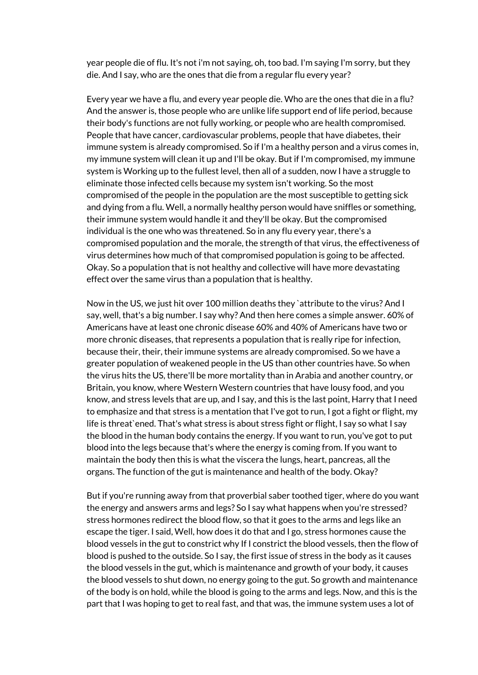year people die of flu. It's not i'm not saying, oh, too bad. I'm saying I'm sorry, but they die. And I say, who are the ones that die from a regular flu every year?

Every year we have a flu, and every year people die. Who are the ones that die in a flu? And the answer is, those people who are unlike life support end of life period, because their body's functions are not fully working, or people who are health compromised. People that have cancer, cardiovascular problems, people that have diabetes, their immune system is already compromised. So if I'm a healthy person and a virus comes in, my immune system will clean it up and I'll be okay. But if I'm compromised, my immune system is Working up to the fullest level, then all of a sudden, now I have a struggle to eliminate those infected cells because my system isn't working. So the most compromised of the people in the population are the most susceptible to getting sick and dying from a flu. Well, a normally healthy person would have sniffles or something, their immune system would handle it and they'll be okay. But the compromised individual is the one who was threatened. So in any flu every year, there's a compromised population and the morale, the strength of that virus, the effectiveness of virus determines how much of that compromised population is going to be affected. Okay. So a population that is not healthy and collective will have more devastating effect over the same virus than a population that is healthy.

Now in the US, we just hit over 100 million deaths they `attribute to the virus? And I say, well, that's a big number. I say why? And then here comes a simple answer. 60% of Americans have at least one chronic disease 60% and 40% of Americans have two or more chronic diseases, that represents a population that is really ripe for infection, because their, their, their immune systems are already compromised. So we have a greater population of weakened people in the US than other countries have. So when the virus hits the US, there'll be more mortality than in Arabia and another country, or Britain, you know, where Western Western countries that have lousy food, and you know, and stress levels that are up, and I say, and this is the last point, Harry that I need to emphasize and that stress is a mentation that I've got to run, I got a fight or flight, my life is threat`ened. That's what stress is about stress fight or flight, I say so what I say the blood in the human body contains the energy. If you want to run, you've got to put blood into the legs because that's where the energy is coming from. If you want to maintain the body then this is what the viscera the lungs, heart, pancreas, all the organs. The function of the gut is maintenance and health of the body. Okay?

But if you're running away from that proverbial saber toothed tiger, where do you want the energy and answers arms and legs? So I say what happens when you're stressed? stress hormones redirect the blood flow, so that it goes to the arms and legs like an escape the tiger. I said, Well, how does it do that and I go, stress hormones cause the blood vessels in the gut to constrict why If I constrict the blood vessels, then the flow of blood is pushed to the outside. So I say, the first issue of stress in the body as it causes the blood vessels in the gut, which is maintenance and growth of your body, it causes the blood vessels to shut down, no energy going to the gut. So growth and maintenance of the body is on hold, while the blood is going to the arms and legs. Now, and this is the part that I was hoping to get to real fast, and that was, the immune system uses a lot of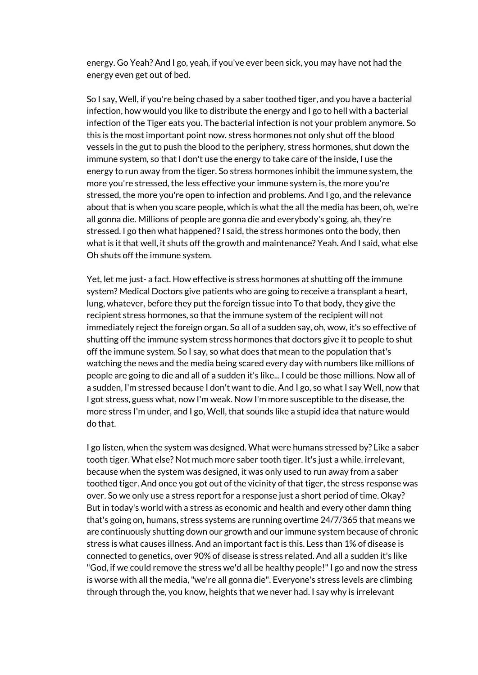energy. Go Yeah? And I go, yeah, if you've ever been sick, you may have not had the energy even get out of bed.

So I say, Well, if you're being chased by a saber toothed tiger, and you have a bacterial infection, how would you like to distribute the energy and I go to hell with a bacterial infection of the Tiger eats you. The bacterial infection is not your problem anymore. So this is the most important point now. stress hormones not only shut off the blood vessels in the gut to push the blood to the periphery, stress hormones, shut down the immune system, so that I don't use the energy to take care of the inside, I use the energy to run away from the tiger. So stress hormones inhibit the immune system, the more you're stressed, the less effective your immune system is, the more you're stressed, the more you're open to infection and problems. And I go, and the relevance about that is when you scare people, which is what the all the media has been, oh, we're all gonna die. Millions of people are gonna die and everybody's going, ah, they're stressed. I go then what happened?I said, the stress hormones onto the body, then what is it that well, it shuts off the growth and maintenance? Yeah. And I said, what else Oh shuts off the immune system.

Yet, let me just- a fact. How effective is stress hormones at shutting off the immune system? Medical Doctors give patients who are going to receive a transplant a heart, lung, whatever, before they put the foreign tissue into To that body, they give the recipient stress hormones, so that the immune system of the recipient will not immediately reject the foreign organ. So all of a sudden say, oh, wow, it's so effective of shutting off the immune system stress hormones that doctors give it to people to shut off the immune system. So I say, so what does that mean to the population that's watching the news and the media being scared every day with numbers like millions of people are going to die and all of a sudden it's like... I could be those millions. Now all of a sudden, I'm stressed because I don't want to die. And I go, so what I say Well, now that I got stress, guess what, now I'm weak. Now I'm more susceptible to the disease, the more stress I'm under, and I go, Well, that sounds like a stupid idea that nature would do that.

I go listen, when the system was designed. What were humans stressed by? Like a saber tooth tiger. What else? Not much more saber tooth tiger. It's just a while. irrelevant, because when the system was designed, it was only used to run away from a saber toothed tiger. And once you got out of the vicinity of that tiger, the stress response was over. So we only use a stress report for a response just a short period of time. Okay? But in today's world with a stress as economic and health and every other damn thing that's going on, humans, stress systems are running overtime 24/7/365 that means we are continuously shutting down our growth and our immune system because of chronic stress is what causes illness. And an important fact is this. Less than 1% of disease is connected to genetics, over 90% of disease is stress related. And all a sudden it's like "God, if we could remove the stress we'd all be healthy people!"I go and now the stress is worse with all the media,"we're all gonna die". Everyone's stress levels are climbing through through the, you know, heights that we never had. I say why is irrelevant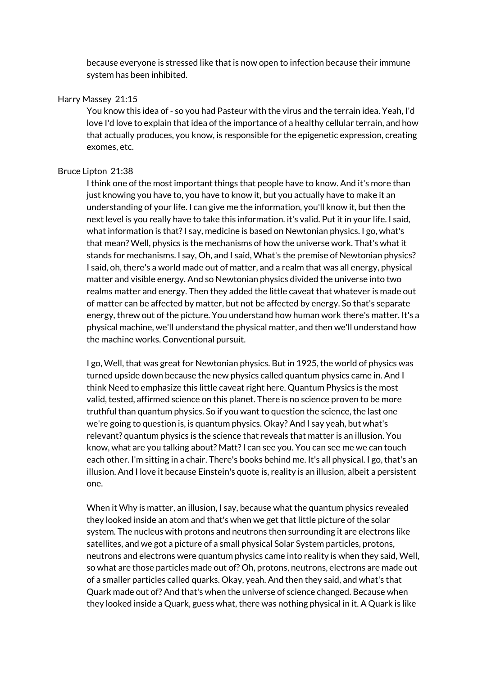because everyone is stressed like that is now open to infection because their immune system has been inhibited.

# Harry Massey 21:15

You know this idea of - so you had Pasteur with the virus and the terrain idea. Yeah, I'd love I'd love to explain that idea of the importance of a healthy cellular terrain, and how that actually produces, you know, is responsible for the epigenetic expression, creating exomes, etc.

# Bruce Lipton 21:38

I think one of the most important things that people have to know. And it's more than just knowing you have to, you have to know it, but you actually have to make it an understanding of your life. I can give me the information, you'll know it, but then the next level is you really have to take this information. it's valid. Put it in your life. I said, what information is that?I say, medicine is based on Newtonian physics. I go, what's that mean? Well, physics is the mechanisms of how the universe work. That's what it stands for mechanisms. I say, Oh, and I said, What's the premise of Newtonian physics? I said, oh, there's a world made out of matter, and a realm that was all energy, physical matter and visible energy. And so Newtonian physics divided the universe into two realms matter and energy. Then they added the little caveat that whatever is made out of matter can be affected by matter, but not be affected by energy. So that's separate energy, threw out of the picture. You understand how human work there's matter. It's a physical machine, we'll understand the physical matter, and then we'll understand how the machine works. Conventional pursuit.

I go, Well, that was great for Newtonian physics. But in 1925, the world of physics was turned upside down because the new physics called quantum physics came in. And I think Need to emphasize this little caveat right here. Quantum Physics is the most valid, tested, affirmed science on this planet. There is no science proven to be more truthful than quantum physics. So if you want to question the science, the last one we're going to question is, is quantum physics. Okay? And I say yeah, but what's relevant? quantum physics is the science that reveals that matter is an illusion. You know, what are you talking about? Matt?I can see you. You can see me we can touch each other. I'm sitting in a chair. There's books behind me. It's all physical. I go, that's an illusion. And I love it because Einstein's quote is, reality is an illusion, albeit a persistent one.

When it Why is matter, an illusion, I say, because what the quantum physics revealed they looked inside an atom and that's when we get that little picture of the solar system. The nucleus with protons and neutrons then surrounding it are electrons like satellites, and we got a picture of a small physical Solar System particles, protons, neutrons and electrons were quantum physics came into reality is when they said, Well, so what are those particles made out of? Oh, protons, neutrons, electrons are made out of a smaller particles called quarks. Okay, yeah. And then they said, and what's that Quark made out of? And that's when the universe of science changed. Because when they looked inside a Quark, guess what, there was nothing physical in it. A Quark is like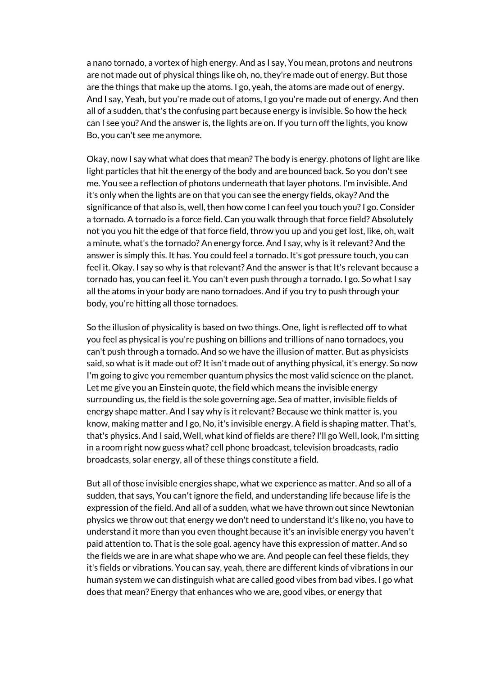a nano tornado, a vortex of high energy. And as I say, You mean, protons and neutrons are not made out of physical things like oh, no, they're made out of energy. But those are the things that make up the atoms. I go, yeah, the atoms are made out of energy. And I say, Yeah, but you're made out of atoms, I go you're made out of energy. And then all of a sudden, that's the confusing part because energy is invisible. So how the heck can I see you? And the answer is, the lights are on. If you turn off the lights, you know Bo, you can't see me anymore.

Okay, now I say what what does that mean? The body is energy. photons of light are like light particles that hit the energy of the body and are bounced back. So you don't see me. You see a reflection of photons underneath that layer photons. I'm invisible. And it's only when the lights are on that you can see the energy fields, okay? And the significance of that also is, well, then how come I can feel you touch you?I go. Consider a tornado. A tornado is a force field. Can you walk through that force field? Absolutely not you you hit the edge of that force field, throw you up and you get lost, like, oh, wait a minute, what's the tornado? An energy force. And I say, why is it relevant? And the answer is simply this. It has. You could feel a tornado. It's got pressure touch, you can feel it. Okay. I say so why is that relevant? And the answer is that It's relevant because a tornado has, you can feel it. You can't even push through a tornado. I go. So what I say all the atoms in your body are nano tornadoes. And if you try to push through your body, you're hitting all those tornadoes.

So the illusion of physicality is based on two things. One, light is reflected off to what you feel as physical is you're pushing on billions and trillions of nano tornadoes, you can't push through a tornado. And so we have the illusion of matter. But as physicists said, so what is it made out of? It isn't made out of anything physical, it's energy. So now I'm going to give you remember quantum physics the most valid science on the planet. Let me give you an Einstein quote, the field which means the invisible energy surrounding us, the field is the sole governing age. Sea of matter, invisible fields of energy shape matter. And I say why is it relevant? Because we think matter is, you know, making matter and I go, No, it's invisible energy. A field is shaping matter. That's, that's physics. And I said, Well, what kind of fields are there?I'll go Well, look, I'm sitting in a room right now guess what? cell phone broadcast, television broadcasts, radio broadcasts, solar energy, all of these things constitute a field.

But all of those invisible energies shape, what we experience as matter. And so all of a sudden, that says, You can't ignore the field, and understanding life because life is the expression of the field. And all of a sudden, what we have thrown out since Newtonian physics we throw out that energy we don't need to understand it's like no, you have to understand it more than you even thought because it's an invisible energy you haven't paid attention to. That is the sole goal. agency have this expression of matter. And so the fields we are in are what shape who we are. And people can feel these fields, they it's fields or vibrations. You can say, yeah, there are different kinds of vibrations in our human system we can distinguish what are called good vibes from bad vibes. I go what does that mean? Energy that enhances who we are, good vibes, or energy that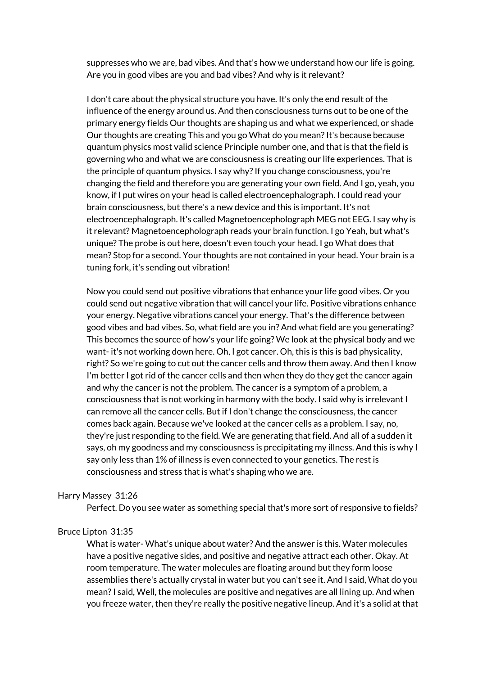suppresses who we are, bad vibes. And that's how we understand how our life is going. Are you in good vibes are you and bad vibes? And why is it relevant?

I don't care about the physical structure you have. It's only the end result of the influence of the energy around us. And then consciousness turns out to be one of the primary energy fields Our thoughts are shaping us and what we experienced, or shade Our thoughts are creating This and you go What do you mean?It's because because quantum physics most valid science Principle number one, and that is that the field is governing who and what we are consciousness is creating our life experiences. That is the principle of quantum physics. I say why?If you change consciousness, you're changing the field and therefore you are generating your own field. And I go, yeah, you know, if I put wires on your head is called electroencephalograph. I could read your brain consciousness, but there's a new device and this is important. It's not electroencephalograph. It's called Magnetoencepholograph MEG not EEG. I say why is it relevant? Magnetoencepholograph reads your brain function. I go Yeah, but what's unique? The probe is out here, doesn't even touch your head. I go What does that mean? Stop for a second. Your thoughts are not contained in your head. Your brain is a tuning fork, it's sending out vibration!

Now you could send out positive vibrations that enhance your life good vibes. Or you could send out negative vibration that will cancel your life. Positive vibrations enhance your energy. Negative vibrations cancel your energy. That's the difference between good vibes and bad vibes. So, what field are you in? And what field are you generating? This becomes the source of how's your life going? We look at the physical body and we want- it's not working down here. Oh, I got cancer. Oh, this is this is bad physicality, right? So we're going to cut out the cancer cells and throw them away. And then I know I'm better I got rid of the cancer cells and then when they do they get the cancer again and why the cancer is not the problem. The cancer is a symptom of a problem, a consciousness that is not working in harmony with the body. I said why is irrelevant I can remove all the cancer cells. But if I don't change the consciousness, the cancer comes back again. Because we've looked at the cancer cells as a problem. I say, no, they're just responding to the field. We are generating that field. And all of a sudden it says, oh my goodness and my consciousness is precipitating my illness. And this is why I say only less than 1% of illness is even connected to your genetics. The rest is consciousness and stress that is what's shaping who we are.

## Harry Massey 31:26

Perfect. Do you see water as something special that's more sort of responsive to fields?

#### Bruce Lipton 31:35

What is water- What's unique about water? And the answer is this. Water molecules have a positive negative sides, and positive and negative attract each other. Okay. At room temperature. The water molecules are floating around but they form loose assemblies there's actually crystal in water but you can't see it. And I said, What do you mean?I said, Well, the molecules are positive and negatives are all lining up. And when you freeze water, then they're really the positive negative lineup. And it's a solid at that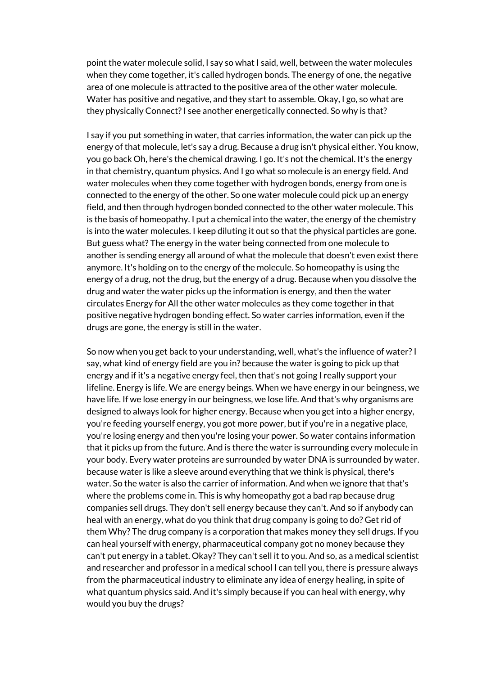point the water molecule solid, I say so what I said, well, between the water molecules when they come together, it's called hydrogen bonds. The energy of one, the negative area of one molecule is attracted to the positive area of the other water molecule. Water has positive and negative, and they start to assemble. Okay, I go, so what are they physically Connect? I see another energetically connected. So why is that?

I say if you put something in water, that carries information, the water can pick up the energy of that molecule, let's say a drug. Because a drug isn't physical either. You know, you go back Oh, here's the chemical drawing. I go. It's not the chemical. It's the energy in that chemistry, quantum physics. And I go what so molecule is an energy field. And water molecules when they come together with hydrogen bonds, energy from one is connected to the energy of the other. So one water molecule could pick up an energy field, and then through hydrogen bonded connected to the other water molecule. This is the basis of homeopathy. I put a chemical into the water, the energy of the chemistry is into the water molecules. I keep diluting it out so that the physical particles are gone. But guess what? The energy in the water being connected from one molecule to another is sending energy all around of what the molecule that doesn't even exist there anymore. It's holding on to the energy of the molecule. So homeopathy is using the energy of a drug, not the drug, but the energy of a drug. Because when you dissolve the drug and water the water picks up the information is energy, and then the water circulates Energy for All the other water molecules as they come together in that positive negative hydrogen bonding effect. So water carries information, even if the drugs are gone, the energy is still in the water.

So now when you get back to your understanding, well, what's the influence of water?I say, what kind of energy field are you in? because the water is going to pick up that energy and if it's a negative energy feel, then that's not going I really support your lifeline. Energy is life. We are energy beings. When we have energy in our beingness, we have life. If we lose energy in our beingness, we lose life. And that's why organisms are designed to always look for higher energy. Because when you get into a higher energy, you're feeding yourself energy, you got more power, but if you're in a negative place, you're losing energy and then you're losing your power. So water contains information that it picks up from the future. And is there the water is surrounding every molecule in your body. Every water proteins are surrounded by water DNA is surrounded by water. because water is like a sleeve around everything that we think is physical, there's water. So the water is also the carrier of information. And when we ignore that that's where the problems come in. This is why homeopathy got a bad rap because drug companies sell drugs. They don't sell energy because they can't. And so if anybody can heal with an energy, what do you think that drug company is going to do? Get rid of them Why? The drug company is a corporation that makes money they sell drugs. If you can heal yourself with energy, pharmaceutical company got no money because they can't put energy in a tablet. Okay? They can't sell it to you. And so, as a medical scientist and researcher and professor in a medical school I can tell you, there is pressure always from the pharmaceutical industry to eliminate any idea of energy healing, in spite of what quantum physics said. And it's simply because if you can heal with energy, why would you buy the drugs?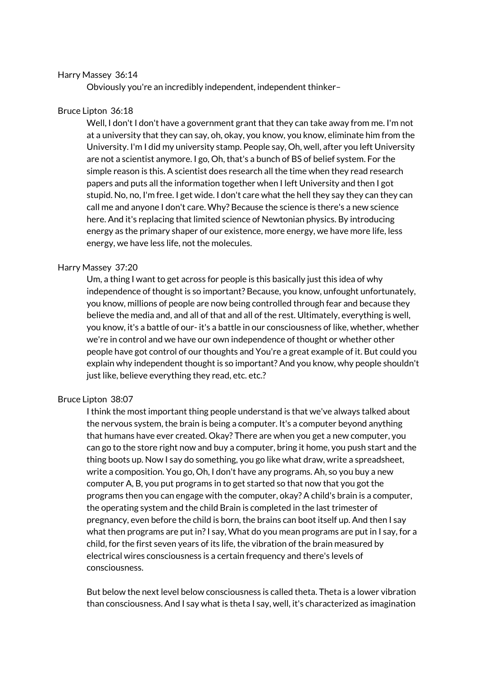# Harry Massey 36:14

Obviously you're an incredibly independent, independent thinker–

# Bruce Lipton 36:18

Well, I don't I don't have a government grant that they can take away from me. I'm not at a university that they can say, oh, okay, you know, you know, eliminate him from the University. I'm I did my university stamp. People say, Oh, well, after you left University are not a scientist anymore. I go, Oh, that's a bunch of BS of belief system. For the simple reason is this. A scientist does research all the time when they read research papers and puts all the information together when I left University and then I got stupid. No, no, I'm free. I get wide. I don't care what the hell they say they can they can call me and anyone I don't care. Why? Because the science is there's a new science here. And it's replacing that limited science of Newtonian physics. By introducing energy as the primary shaper of our existence, more energy, we have more life, less energy, we have less life, not the molecules.

## Harry Massey 37:20

Um, a thing I want to get across for people is this basically just this idea of why independence of thought is so important? Because, you know, unfought unfortunately, you know, millions of people are now being controlled through fear and because they believe the media and, and all of that and all of the rest. Ultimately, everything is well, you know, it's a battle of our- it's a battle in our consciousness of like, whether, whether we're in control and we have our own independence of thought or whether other people have got control of our thoughts and You're a great example of it. But could you explain why independent thought is so important? And you know, why people shouldn't just like, believe everything they read, etc. etc.?

#### Bruce Lipton 38:07

I think the most important thing people understand is that we've always talked about the nervous system, the brain is being a computer. It's a computer beyond anything that humans have ever created. Okay? There are when you get a new computer, you can go to the store right now and buy a computer, bring it home, you push start and the thing boots up. Now I say do something, you go like what draw, write a spreadsheet, write a composition. You go, Oh, I don't have any programs. Ah, so you buy a new computer A, B, you put programs in to get started so that now that you got the programs then you can engage with the computer, okay? A child's brain is a computer, the operating system and the child Brain is completed in the last trimester of pregnancy, even before the child is born, the brains can boot itself up. And then I say what then programs are put in?I say, What do you mean programs are put in I say, for a child, for the first seven years of its life, the vibration of the brain measured by electrical wires consciousness is a certain frequency and there's levels of consciousness.

But below the next level below consciousness is called theta. Theta is a lower vibration than consciousness. And I say what is theta I say, well, it's characterized as imagination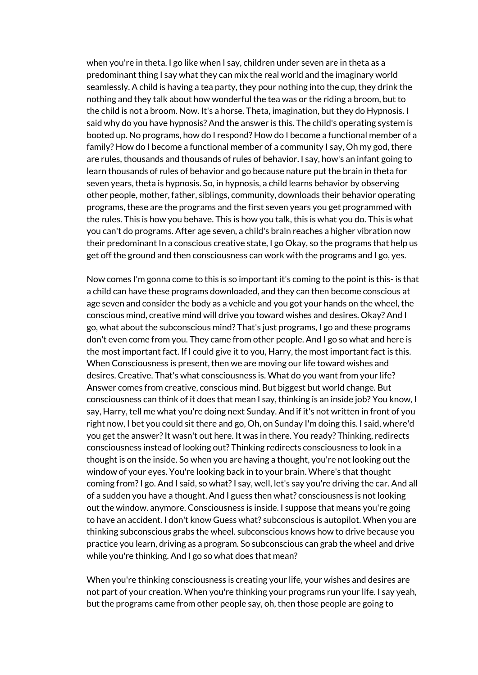when you're in theta. I go like when I say, children under seven are in theta as a predominant thing I say what they can mix the real world and the imaginary world seamlessly. A child is having a tea party, they pour nothing into the cup, they drink the nothing and they talk about how wonderful the tea was or the riding a broom, but to the child is not a broom. Now. It's a horse. Theta, imagination, but they do Hypnosis. I said why do you have hypnosis? And the answer is this. The child's operating system is booted up. No programs, how do I respond? How do I become a functional member of a family? How do I become a functional member of a community I say, Oh my god, there are rules, thousands and thousands of rules of behavior. I say, how's an infant going to learn thousands of rules of behavior and go because nature put the brain in theta for seven years, theta is hypnosis. So, in hypnosis, a child learns behavior by observing other people, mother, father, siblings, community, downloads their behavior operating programs, these are the programs and the first seven years you get programmed with the rules. This is how you behave. This is how you talk, this is what you do. This is what you can't do programs. After age seven, a child's brain reaches a higher vibration now their predominant In a conscious creative state, I go Okay, so the programs that help us get off the ground and then consciousness can work with the programs and I go, yes.

Now comes I'm gonna come to this is so important it's coming to the point is this- is that a child can have these programs downloaded, and they can then become conscious at age seven and consider the body as a vehicle and you got your hands on the wheel, the conscious mind, creative mind will drive you toward wishes and desires. Okay? And I go, what about the subconscious mind? That's just programs, I go and these programs don't even come from you. They came from other people. And I go so what and here is the most important fact. If I could give it to you, Harry, the most important fact is this. When Consciousness is present, then we are moving our life toward wishes and desires. Creative. That's what consciousness is. What do you want from your life? Answer comes from creative, conscious mind. But biggest but world change. But consciousness can think of it does that mean I say, thinking is an inside job? You know, I say, Harry, tell me what you're doing next Sunday. And if it's not written in front of you right now, I bet you could sit there and go, Oh, on Sunday I'm doing this. I said, where'd you get the answer?It wasn't out here. It was in there. You ready? Thinking, redirects consciousness instead of looking out? Thinking redirects consciousness to look in a thought is on the inside. So when you are having a thought, you're not looking out the window of your eyes. You're looking back in to your brain. Where's that thought coming from? I go. And I said, so what? I say, well, let's say you're driving the car. And all of a sudden you have a thought. And I guess then what? consciousness is not looking out the window. anymore. Consciousness is inside. I suppose that means you're going to have an accident. I don't know Guess what? subconscious is autopilot. When you are thinking subconscious grabs the wheel. subconscious knows how to drive because you practice you learn, driving as a program. So subconscious can grab the wheel and drive while you're thinking. And I go so what does that mean?

When you're thinking consciousness is creating your life, your wishes and desires are not part of your creation. When you're thinking your programs run your life. I say yeah, but the programs came from other people say, oh, then those people are going to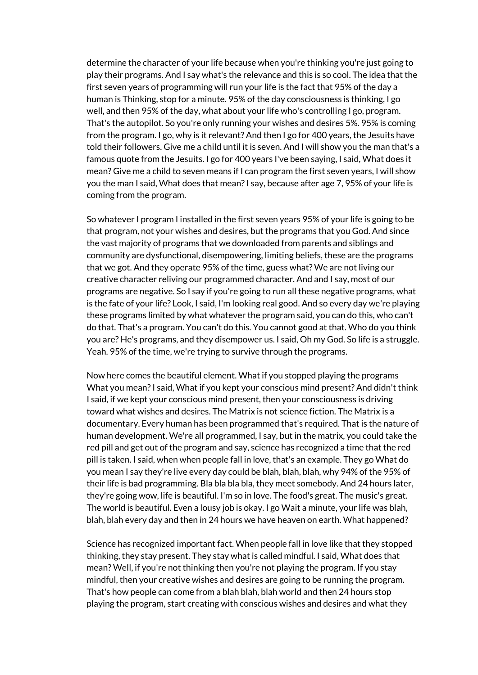determine the character of your life because when you're thinking you're just going to play their programs. And I say what's the relevance and this is so cool. The idea that the first seven years of programming will run your life is the fact that 95% of the day a human is Thinking, stop for a minute. 95% of the day consciousness is thinking, I go well, and then 95% of the day, what about your life who's controlling I go, program. That's the autopilot. So you're only running your wishes and desires 5%. 95% is coming from the program. I go, why is it relevant? And then I go for 400 years, the Jesuits have told their followers. Give me a child until it is seven. And I will show you the man that's a famous quote from the Jesuits. I go for 400 years I've been saying, I said, What does it mean? Give me a child to seven means if I can program the first seven years, I will show you the man I said, What does that mean?I say, because after age 7, 95% of your life is coming from the program.

So whatever I program I installed in the first seven years 95% of your life is going to be that program, not your wishes and desires, but the programs that you God. And since the vast majority of programs that we downloaded from parents and siblings and community are dysfunctional, disempowering, limiting beliefs, these are the programs that we got. And they operate 95% of the time, guess what? We are not living our creative character reliving our programmed character. And and I say, most of our programs are negative. So I say if you're going to run all these negative programs, what is the fate of your life? Look, I said, I'm looking real good. And so every day we're playing these programs limited by what whatever the program said, you can do this, who can't do that. That's a program. You can't do this. You cannot good at that. Who do you think you are? He's programs, and they disempower us. I said, Oh my God. So life is a struggle. Yeah. 95% of the time, we're trying to survive through the programs.

Now here comes the beautiful element. What if you stopped playing the programs What you mean?I said, What if you kept your conscious mind present? And didn't think I said, if we kept your conscious mind present, then your consciousness is driving toward what wishes and desires. The Matrix is not science fiction. The Matrix is a documentary. Every human has been programmed that's required. That is the nature of human development. We're all programmed, I say, but in the matrix, you could take the red pill and get out of the program and say, science has recognized a time that the red pill is taken. I said, when when people fall in love, that's an example. They go What do you mean I say they're live every day could be blah, blah, blah, why 94% of the 95% of their life is bad programming. Bla bla bla bla, they meet somebody. And 24 hours later, they're going wow, life is beautiful. I'm so in love. The food's great. The music's great. The world is beautiful. Even a lousy job is okay. I go Wait a minute, your life was blah, blah, blah every day and then in 24 hours we have heaven on earth. What happened?

Science has recognized important fact. When people fall in love like that they stopped thinking, they stay present. They stay what is called mindful. I said, What does that mean? Well, if you're not thinking then you're not playing the program. If you stay mindful, then your creative wishes and desires are going to be running the program. That's how people can come from a blah blah, blah world and then 24 hours stop playing the program, start creating with conscious wishes and desires and what they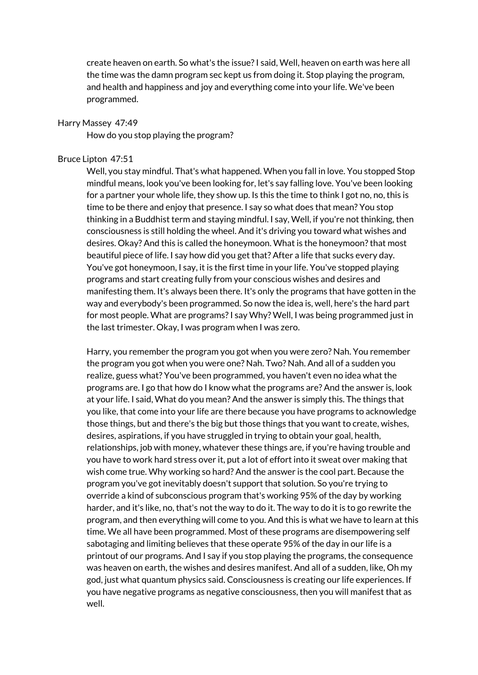create heaven on earth. So what's the issue?I said, Well, heaven on earth was here all the time was the damn program sec kept us from doing it. Stop playing the program, and health and happiness and joy and everything come into your life. We've been programmed.

#### Harry Massey 47:49

How do you stop playing the program?

#### Bruce Lipton 47:51

Well, you stay mindful. That's what happened. When you fall in love. You stopped Stop mindful means, look you've been looking for, let's say falling love. You've been looking for a partner your whole life, they show up. Is this the time to think I got no, no, this is time to be there and enjoy that presence. I say so what does that mean? You stop thinking in a Buddhist term and staying mindful. I say, Well, if you're not thinking, then consciousness is still holding the wheel. And it's driving you toward what wishes and desires. Okay? And this is called the honeymoon. What is the honeymoon?that most beautiful piece of life. I say how did you get that? After a life that sucks every day. You've got honeymoon, I say, it is the first time in your life. You've stopped playing programs and start creating fully from your conscious wishes and desires and manifesting them. It's always been there. It's only the programs that have gotten in the way and everybody's been programmed. So now the idea is, well, here's the hard part for most people. What are programs?I say Why? Well, I was being programmed just in the last trimester. Okay, I was program when I was zero.

Harry, you remember the program you got when you were zero? Nah. You remember the program you got when you were one? Nah. Two? Nah. And all of a sudden you realize, guess what? You've been programmed, you haven't even no idea what the programs are. I go that how do I know what the programs are? And the answer is, look at your life. I said, What do you mean? And the answer is simply this. The things that you like, that come into your life are there because you have programs to acknowledge those things, but and there's the big but those things that you want to create, wishes, desires, aspirations, if you have struggled in trying to obtain your goal, health, relationships, job with money, whatever these things are, if you're having trouble and you have to work hard stress over it, put a lot of effort into it sweat over making that wish come true. Why working so hard? And the answer is the cool part. Because the program you've got inevitably doesn't support that solution. So you're trying to override a kind of subconscious program that's working 95% of the day by working harder, and it's like, no, that's not the way to do it. The way to do it is to go rewrite the program, and then everything will come to you. And this is what we have to learn at this time. We all have been programmed. Most of these programs are disempowering self sabotaging and limiting believes that these operate 95% of the day in our life is a printout of our programs. And I say if you stop playing the programs, the consequence was heaven on earth, the wishes and desires manifest. And all of a sudden, like, Oh my god, just what quantum physics said. Consciousness is creating our life experiences. If you have negative programs as negative consciousness, then you will manifest that as well.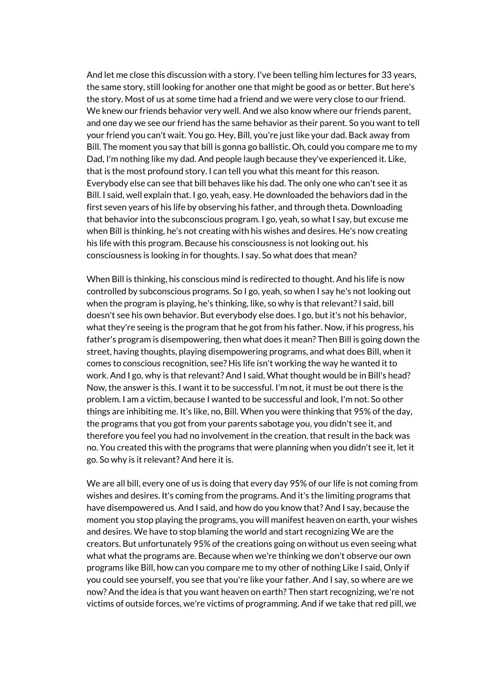And let me close this discussion with a story. I've been telling him lectures for 33 years, the same story, still looking for another one that might be good as or better. But here's the story. Most of us at some time had a friend and we were very close to our friend. We knew our friends behavior very well. And we also know where our friends parent, and one day we see our friend has the same behavior as their parent. So you want to tell your friend you can't wait. You go. Hey, Bill, you're just like your dad. Back away from Bill. The moment you say that bill is gonna go ballistic. Oh, could you compare me to my Dad, I'm nothing like my dad. And people laugh because they've experienced it. Like, that is the most profound story. I can tell you what this meant for this reason. Everybody else can see that bill behaves like his dad. The only one who can't see it as Bill. I said, well explain that. I go, yeah, easy. He downloaded the behaviors dad in the first seven years of his life by observing his father, and through theta. Downloading that behavior into the subconscious program. I go, yeah, so what I say, but excuse me when Bill is thinking, he's not creating with his wishes and desires. He's now creating his life with this program. Because his consciousness is not looking out. his consciousness is looking in for thoughts. I say. So what does that mean?

When Bill is thinking, his conscious mind is redirected to thought. And his life is now controlled by subconscious programs. So I go, yeah, so when I say he's not looking out when the program is playing, he's thinking, like, so why is that relevant?I said, bill doesn't see his own behavior. But everybody else does. I go, but it's not his behavior, what they're seeing is the program that he got from his father. Now, if his progress, his father's program is disempowering, then what does it mean? Then Bill is going down the street, having thoughts, playing disempowering programs, and what does Bill, when it comes to conscious recognition, see? His life isn't working the way he wanted it to work. And I go, why is that relevant? And I said, What thought would be in Bill's head? Now, the answer is this. I want it to be successful. I'm not, it must be out there is the problem. I am a victim, because I wanted to be successful and look, I'm not. So other things are inhibiting me. It's like, no, Bill. When you were thinking that 95% of the day, the programs that you got from your parents sabotage you, you didn't see it, and therefore you feel you had no involvement in the creation. that result in the back was no. You created this with the programs that were planning when you didn't see it, let it go. So why is it relevant? And here it is.

We are all bill, every one of us is doing that every day 95% of our life is not coming from wishes and desires. It's coming from the programs. And it's the limiting programs that have disempowered us. And I said, and how do you know that? And I say, because the moment you stop playing the programs, you will manifest heaven on earth, your wishes and desires. We have to stop blaming the world and start recognizing We are the creators. But unfortunately 95% of the creations going on without us even seeing what what what the programs are. Because when we're thinking we don't observe our own programs like Bill, how can you compare me to my other of nothing Like I said, Only if you could see yourself, you see that you're like your father. And I say, so where are we now? And the idea is that you want heaven on earth? Then start recognizing, we're not victims of outside forces, we're victims of programming. And if we take that red pill, we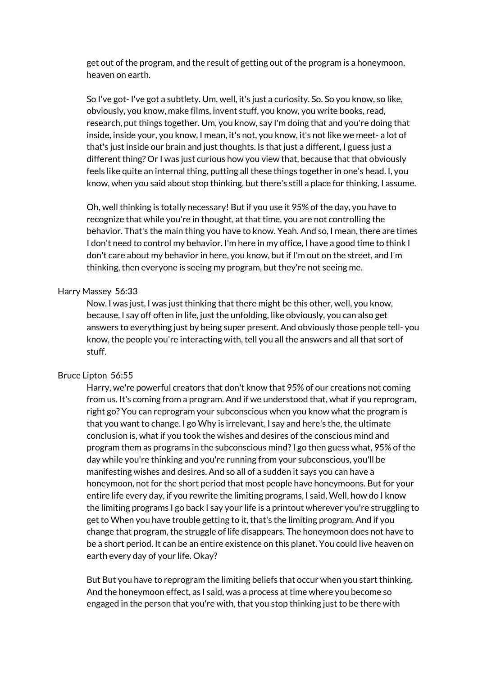get out of the program, and the result of getting out of the program is a honeymoon, heaven on earth.

So I've got- I've got a subtlety. Um, well, it's just a curiosity. So. So you know, so like, obviously, you know, make films, invent stuff, you know, you write books, read, research, put things together. Um, you know, say I'm doing that and you're doing that inside, inside your, you know, I mean, it's not, you know, it's not like we meet- a lot of that's just inside our brain and just thoughts. Is that just a different, I guess just a different thing? Or I was just curious how you view that, because that that obviously feels like quite an internal thing, putting all these things together in one's head. I, you know, when you said about stop thinking, but there's still a place for thinking, I assume.

Oh, well thinking is totally necessary! But if you use it 95% of the day, you have to recognize that while you're in thought, at that time, you are not controlling the behavior. That's the main thing you have to know. Yeah. And so, I mean, there are times I don't need to control my behavior. I'm here in my office, I have a good time to think I don't care about my behavior in here, you know, but if I'm out on the street, and I'm thinking, then everyone is seeing my program, but they're not seeing me.

# Harry Massey 56:33

Now. I was just, I was just thinking that there might be this other, well, you know, because, I say off often in life, just the unfolding, like obviously, you can also get answers to everything just by being super present. And obviously those people tell- you know, the people you're interacting with, tell you all the answers and all that sort of stuff.

# Bruce Lipton 56:55

Harry, we're powerful creators that don't know that 95% of our creations not coming from us. It's coming from a program. And if we understood that, what if you reprogram, right go? You can reprogram your subconscious when you know what the program is that you want to change. I go Why is irrelevant, I say and here's the, the ultimate conclusion is, what if you took the wishes and desires of the conscious mind and program them as programs in the subconscious mind?I go then guess what, 95% of the day while you're thinking and you're running from your subconscious, you'll be manifesting wishes and desires. And so all of a sudden it says you can have a honeymoon, not for the short period that most people have honeymoons. But for your entire life every day, if you rewrite the limiting programs, I said, Well, how do I know the limiting programs I go back I say your life is a printout wherever you're struggling to get to When you have trouble getting to it, that's the limiting program. And if you change that program, the struggle of life disappears. The honeymoon does not have to be a short period. It can be an entire existence on this planet. You could live heaven on earth every day of your life. Okay?

But But you have to reprogram the limiting beliefs that occur when you start thinking. And the honeymoon effect, as I said, was a process at time where you become so engaged in the person that you're with, that you stop thinking just to be there with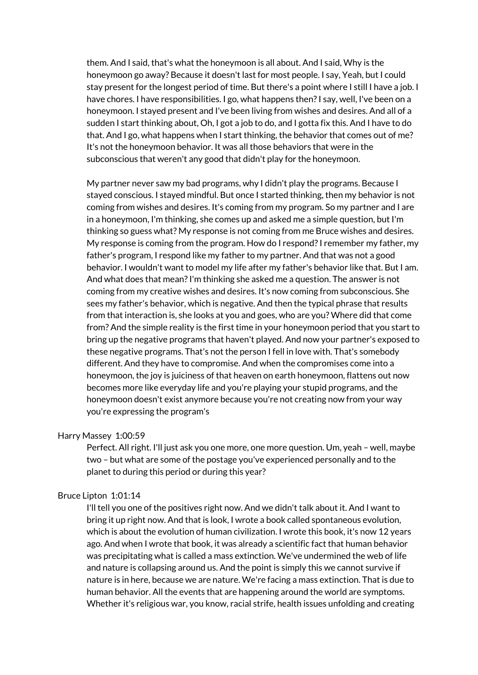them. And I said, that's what the honeymoon is all about. And I said, Why is the honeymoon go away? Because it doesn't last for most people. I say, Yeah, but I could stay present for the longest period of time. But there's a point where I still I have a job. I have chores. I have responsibilities. I go, what happens then? I say, well, I've been on a honeymoon. I stayed present and I've been living from wishes and desires. And all of a sudden I start thinking about, Oh, I got a job to do, and I gotta fix this. And I have to do that. And I go, what happens when I start thinking, the behavior that comes out of me? It's not the honeymoon behavior. It was all those behaviors that were in the subconscious that weren't any good that didn't play for the honeymoon.

My partner never saw my bad programs, why I didn't play the programs. Because I stayed conscious. I stayed mindful. But once I started thinking, then my behavior is not coming from wishes and desires. It's coming from my program. So my partner and I are in a honeymoon, I'm thinking, she comes up and asked me a simple question, but I'm thinking so guess what? My response is not coming from me Bruce wishes and desires. My response is coming from the program. How do I respond? I remember my father, my father's program, I respond like my father to my partner. And that was not a good behavior. I wouldn't want to model my life after my father's behavior like that. But I am. And what does that mean? I'm thinking she asked me a question. The answer is not coming from my creative wishes and desires. It's now coming from subconscious. She sees my father's behavior, which is negative. And then the typical phrase that results from that interaction is, she looks at you and goes, who are you? Where did that come from? And the simple reality is the first time in your honeymoon period that you start to bring up the negative programs that haven't played. And now your partner's exposed to these negative programs. That's not the person I fell in love with. That's somebody different. And they have to compromise. And when the compromises come into a honeymoon, the joy is juiciness of that heaven on earth honeymoon, flattens out now becomes more like everyday life and you're playing your stupid programs, and the honeymoon doesn't exist anymore because you're not creating now from your way you're expressing the program's

# Harry Massey 1:00:59

Perfect. All right. I'll just ask you one more, one more question. Um, yeah – well, maybe two – but what are some of the postage you've experienced personally and to the planet to during this period or during this year?

## Bruce Lipton 1:01:14

I'll tell you one of the positives right now. And we didn't talk about it. And I want to bring it up right now. And that is look, I wrote a book called spontaneous evolution, which is about the evolution of human civilization. I wrote this book, it's now 12 years ago. And when I wrote that book, it was already a scientific fact that human behavior was precipitating what is called a mass extinction. We've undermined the web of life and nature is collapsing around us. And the point is simply this we cannot survive if nature is in here, because we are nature. We're facing a mass extinction. That is due to human behavior. All the events that are happening around the world are symptoms. Whether it's religious war, you know, racial strife, health issues unfolding and creating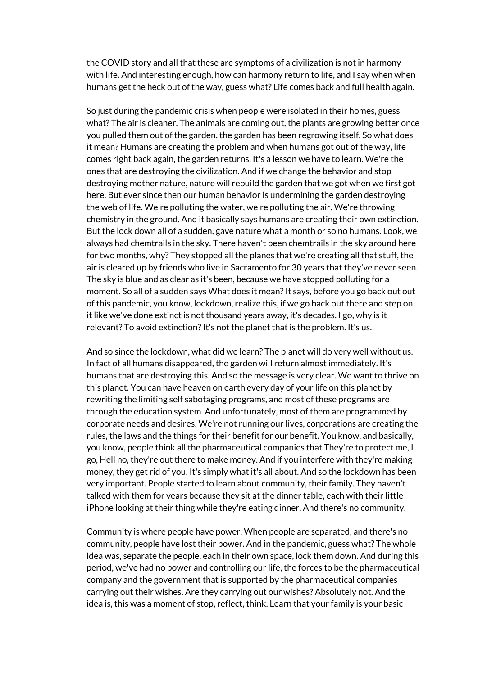the COVID story and all that these are symptoms of a civilization is not in harmony with life. And interesting enough, how can harmony return to life, and I say when when humans get the heck out of the way, guess what? Life comes back and full health again.

So just during the pandemic crisis when people were isolated in their homes, guess what? The air is cleaner. The animals are coming out, the plants are growing better once you pulled them out of the garden, the garden has been regrowing itself. So what does it mean? Humans are creating the problem and when humans got out of the way, life comes right back again, the garden returns. It's a lesson we have to learn. We're the ones that are destroying the civilization. And if we change the behavior and stop destroying mother nature, nature will rebuild the garden that we got when we first got here. But ever since then our human behavior is undermining the garden destroying the web of life. We're polluting the water, we're polluting the air. We're throwing chemistry in the ground. And it basically says humans are creating their own extinction. But the lock down all of a sudden, gave nature what a month or so no humans. Look, we always had chemtrails in the sky. There haven't been chemtrails in the sky around here for two months, why? They stopped all the planes that we're creating all that stuff, the air is cleared up by friends who live in Sacramento for 30 years that they've never seen. The sky is blue and as clear as it's been, because we have stopped polluting for a moment. So all of a sudden says What does it mean? It says, before you go back out out of this pandemic, you know, lockdown, realize this, if we go back out there and step on it like we've done extinct is not thousand years away, it's decades. I go, why is it relevant? To avoid extinction? It's not the planet that is the problem. It's us.

And so since the lockdown, what did we learn? The planet will do very well without us. In fact of all humans disappeared, the garden will return almost immediately. It's humans that are destroying this. And so the message is very clear. We want to thrive on this planet. You can have heaven on earth every day of your life on this planet by rewriting the limiting self sabotaging programs, and most of these programs are through the education system. And unfortunately, most of them are programmed by corporate needs and desires. We're not running our lives, corporations are creating the rules, the laws and the things for their benefit for our benefit. You know, and basically, you know, people think all the pharmaceutical companies that They're to protect me, I go, Hell no, they're out there to make money. And if you interfere with they're making money, they get rid of you. It's simply what it's all about. And so the lockdown has been very important. People started to learn about community, their family. They haven't talked with them for years because they sit at the dinner table, each with their little iPhone looking at their thing while they're eating dinner. And there's no community.

Community is where people have power. When people are separated, and there's no community, people have lost their power. And in the pandemic, guess what? The whole idea was, separate the people, each in their own space, lock them down. And during this period, we've had no power and controlling our life, the forces to be the pharmaceutical company and the government that is supported by the pharmaceutical companies carrying out their wishes. Are they carrying out our wishes? Absolutely not. And the idea is, this was a moment of stop, reflect, think. Learn that your family is your basic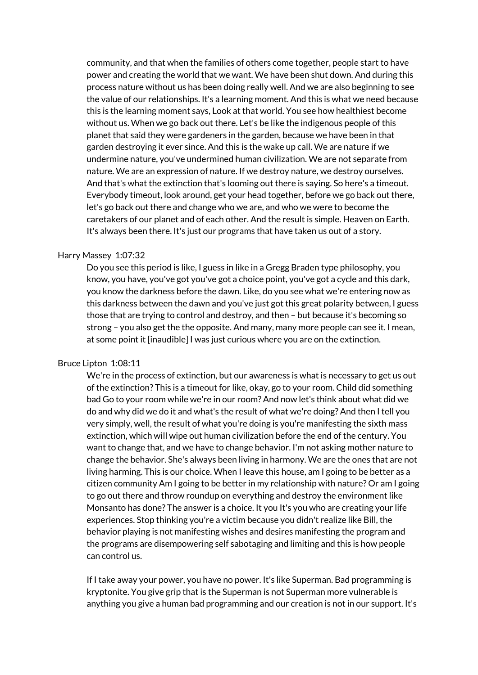community, and that when the families of others come together, people start to have power and creating the world that we want. We have been shut down. And during this process nature without us has been doing really well. And we are also beginning to see the value of our relationships. It's a learning moment. And this is what we need because this is the learning moment says, Look at that world. You see how healthiest become without us. When we go back out there. Let's be like the indigenous people of this planet that said they were gardeners in the garden, because we have been in that garden destroying it ever since. And this is the wake up call. We are nature if we undermine nature, you've undermined human civilization. We are not separate from nature. We are an expression of nature. If we destroy nature, we destroy ourselves. And that's what the extinction that's looming out there is saying. So here's a timeout. Everybody timeout, look around, get your head together, before we go back out there, let's go back out there and change who we are, and who we were to become the caretakers of our planet and of each other. And the result is simple. Heaven on Earth. It's always been there. It's just our programs that have taken us out of a story.

# Harry Massey 1:07:32

Do you see this period is like, I guess in like in a Gregg Braden type philosophy, you know, you have, you've got you've got a choice point, you've got a cycle and this dark, you know the darkness before the dawn. Like, do you see what we're entering now as this darkness between the dawn and you've just got this great polarity between, I guess those that are trying to control and destroy, and then – but because it's becoming so strong – you also get the the opposite. And many, many more people can see it. I mean, at some point it [inaudible] I was just curious where you are on the extinction.

#### Bruce Lipton 1:08:11

We're in the process of extinction, but our awareness is what is necessary to get us out of the extinction? This is a timeout for like, okay, go to your room. Child did something bad Go to your room while we're in our room? And now let's think about what did we do and why did we do it and what's the result of what we're doing? And then I tell you very simply, well, the result of what you're doing is you're manifesting the sixth mass extinction, which will wipe out human civilization before the end of the century. You want to change that, and we have to change behavior. I'm not asking mother nature to change the behavior. She's always been living in harmony. We are the ones that are not living harming. This is our choice. When I leave this house, am I going to be better as a citizen community Am I going to be better in my relationship with nature? Or am I going to go out there and throw roundup on everything and destroy the environment like Monsanto has done? The answer is a choice. It you It's you who are creating your life experiences. Stop thinking you're a victim because you didn't realize like Bill, the behavior playing is not manifesting wishes and desires manifesting the program and the programs are disempowering self sabotaging and limiting and this is how people can control us.

If I take away your power, you have no power. It's like Superman. Bad programming is kryptonite. You give grip that is the Superman is not Superman more vulnerable is anything you give a human bad programming and our creation is not in our support. It's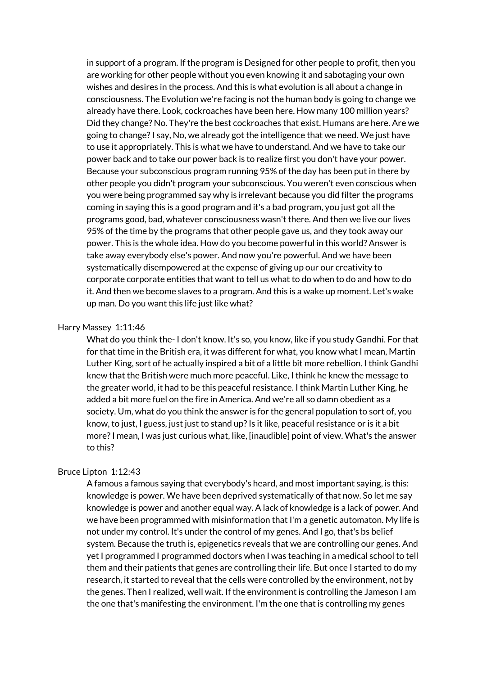in support of a program. If the program is Designed for other people to profit, then you are working for other people without you even knowing it and sabotaging your own wishes and desires in the process. And this is what evolution is all about a change in consciousness. The Evolution we're facing is not the human body is going to change we already have there. Look, cockroaches have been here. How many 100 million years? Did they change? No. They're the best cockroaches that exist. Humans are here. Are we going to change?I say, No, we already got the intelligence that we need. We just have to use it appropriately. This is what we have to understand. And we have to take our power back and to take our power back is to realize first you don't have your power. Because your subconscious program running 95% of the day has been put in there by other people you didn't program your subconscious. You weren't even conscious when you were being programmed say why is irrelevant because you did filter the programs coming in saying this is a good program and it's a bad program, you just got all the programs good, bad, whatever consciousness wasn't there. And then we live our lives 95% of the time by the programs that other people gave us, and they took away our power. This is the whole idea. How do you become powerful in this world? Answer is take away everybody else's power. And now you're powerful. And we have been systematically disempowered at the expense of giving up our our creativity to corporate corporate entities that want to tell us what to do when to do and how to do it. And then we become slaves to a program. And this is a wake up moment. Let's wake up man. Do you want this life just like what?

#### Harry Massey 1:11:46

What do you think the- I don't know. It's so, you know, like if you study Gandhi. For that for that time in the British era, it was different for what, you know what I mean, Martin Luther King, sort of he actually inspired a bit of a little bit more rebellion. I think Gandhi knew that the British were much more peaceful. Like, I think he knew the message to the greater world, it had to be this peaceful resistance. I think Martin Luther King, he added a bit more fuel on the fire in America. And we're all so damn obedient as a society. Um, what do you think the answer is for the general population to sort of, you know, to just, I guess, just just to stand up? Is it like, peaceful resistance or is it a bit more?I mean, I was just curious what, like, [inaudible] point of view. What's the answer to this?

### Bruce Lipton 1:12:43

A famous a famous saying that everybody's heard, and most important saying, is this: knowledge is power. We have been deprived systematically of that now. So let me say knowledge is power and another equal way. A lack of knowledge is a lack of power. And we have been programmed with misinformation that I'm a genetic automaton. My life is not under my control. It's under the control of my genes. And I go, that's bs belief system. Because the truth is, epigenetics reveals that we are controlling our genes. And yet I programmed I programmed doctors when I was teaching in a medical school to tell them and their patients that genes are controlling their life. But once I started to do my research, it started to reveal that the cells were controlled by the environment, not by the genes. Then I realized, well wait. If the environment is controlling the Jameson I am the one that's manifesting the environment. I'm the one that is controlling my genes